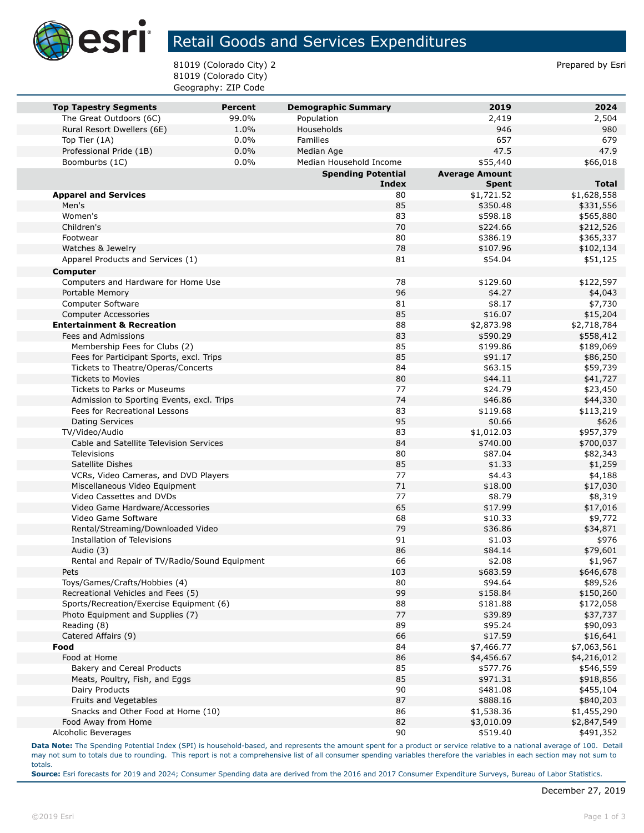

## Retail Goods and Services Expenditures

81019 (Colorado City) 2 and 31019 (Colorado City) 2 81019 (Colorado City) Geography: ZIP Code

| <b>Top Tapestry Segments</b><br>The Great Outdoors (6C) | Percent<br>99.0% | <b>Demographic Summary</b><br>Population | 2019<br>2,419         | 2024<br>2,504         |
|---------------------------------------------------------|------------------|------------------------------------------|-----------------------|-----------------------|
| Rural Resort Dwellers (6E)                              | 1.0%             | Households                               | 946                   | 980                   |
| Top Tier (1A)                                           | 0.0%             | <b>Families</b>                          | 657                   | 679                   |
| Professional Pride (1B)                                 | 0.0%             | Median Age                               | 47.5                  | 47.9                  |
| Boomburbs (1C)                                          | 0.0%             | Median Household Income                  | \$55,440              | \$66,018              |
|                                                         |                  | <b>Spending Potential</b>                | <b>Average Amount</b> |                       |
|                                                         |                  | <b>Index</b>                             | <b>Spent</b>          | <b>Total</b>          |
| <b>Apparel and Services</b>                             |                  | 80                                       | \$1,721.52            | \$1,628,558           |
| Men's                                                   |                  | 85                                       | \$350.48              | \$331,556             |
| Women's                                                 |                  | 83                                       | \$598.18              | \$565,880             |
| Children's                                              |                  | 70                                       | \$224.66              | \$212,526             |
| Footwear                                                |                  | 80                                       | \$386.19              | \$365,337             |
| Watches & Jewelry                                       |                  | 78                                       | \$107.96              | \$102,134             |
| Apparel Products and Services (1)                       |                  | 81                                       | \$54.04               | \$51,125              |
| <b>Computer</b>                                         |                  |                                          |                       |                       |
| Computers and Hardware for Home Use                     |                  | 78                                       | \$129.60              | \$122,597             |
| Portable Memory                                         |                  | 96                                       | \$4.27                | \$4,043               |
| Computer Software                                       |                  | 81                                       | \$8.17                | \$7,730               |
| <b>Computer Accessories</b>                             |                  | 85                                       | \$16.07               | \$15,204              |
| <b>Entertainment &amp; Recreation</b>                   |                  | 88                                       | \$2,873.98            | \$2,718,784           |
| Fees and Admissions                                     |                  | 83                                       | \$590.29              | \$558,412             |
| Membership Fees for Clubs (2)                           |                  | 85                                       | \$199.86              | \$189,069             |
| Fees for Participant Sports, excl. Trips                |                  | 85                                       | \$91.17               | \$86,250              |
| Tickets to Theatre/Operas/Concerts                      |                  | 84                                       | \$63.15               | \$59,739              |
| <b>Tickets to Movies</b>                                |                  | 80                                       | \$44.11               | \$41,727              |
| Tickets to Parks or Museums                             |                  | 77                                       | \$24.79               | \$23,450              |
| Admission to Sporting Events, excl. Trips               |                  | 74                                       | \$46.86               | \$44,330              |
| Fees for Recreational Lessons                           |                  | 83                                       | \$119.68              | \$113,219             |
| Dating Services                                         |                  | 95                                       | \$0.66                | \$626                 |
| TV/Video/Audio                                          |                  | 83                                       | \$1,012.03            | \$957,379             |
| Cable and Satellite Television Services                 |                  | 84                                       | \$740.00              | \$700,037             |
| <b>Televisions</b>                                      |                  | 80                                       | \$87.04               | \$82,343              |
| Satellite Dishes                                        |                  | 85                                       | \$1.33                | \$1,259               |
| VCRs, Video Cameras, and DVD Players                    |                  | 77                                       | \$4.43                | \$4,188               |
| Miscellaneous Video Equipment                           |                  | 71                                       | \$18.00               | \$17,030              |
| Video Cassettes and DVDs                                |                  | 77                                       | \$8.79                | \$8,319               |
| Video Game Hardware/Accessories                         |                  | 65                                       | \$17.99               | \$17,016              |
| Video Game Software                                     |                  | 68                                       | \$10.33               | \$9,772               |
| Rental/Streaming/Downloaded Video                       |                  | 79                                       | \$36.86               | \$34,871              |
| Installation of Televisions                             |                  | 91                                       | \$1.03                | \$976                 |
| Audio (3)                                               |                  | 86<br>66                                 | \$84.14               | \$79,601<br>\$1,967   |
| Rental and Repair of TV/Radio/Sound Equipment<br>Pets   |                  | 103                                      | \$2.08                |                       |
| Toys/Games/Crafts/Hobbies (4)                           |                  | 80                                       | \$683.59<br>\$94.64   | \$646,678             |
| Recreational Vehicles and Fees (5)                      |                  | 99                                       | \$158.84              | \$89,526<br>\$150,260 |
| Sports/Recreation/Exercise Equipment (6)                |                  | 88                                       | \$181.88              | \$172,058             |
| Photo Equipment and Supplies (7)                        |                  | 77                                       | \$39.89               | \$37,737              |
| Reading (8)                                             |                  | 89                                       | \$95.24               | \$90,093              |
| Catered Affairs (9)                                     |                  | 66                                       | \$17.59               | \$16,641              |
| Food                                                    |                  | 84                                       | \$7,466.77            | \$7,063,561           |
| Food at Home                                            |                  | 86                                       | \$4,456.67            | \$4,216,012           |
| Bakery and Cereal Products                              |                  | 85                                       | \$577.76              | \$546,559             |
| Meats, Poultry, Fish, and Eggs                          |                  | 85                                       | \$971.31              | \$918,856             |
| Dairy Products                                          |                  | 90                                       | \$481.08              | \$455,104             |
| Fruits and Vegetables                                   |                  | 87                                       | \$888.16              | \$840,203             |
| Snacks and Other Food at Home (10)                      |                  | 86                                       | \$1,538.36            | \$1,455,290           |
| Food Away from Home                                     |                  | 82                                       | \$3,010.09            | \$2,847,549           |
| Alcoholic Beverages                                     |                  | 90                                       | \$519.40              | \$491,352             |

**Data Note:** The Spending Potential Index (SPI) is household-based, and represents the amount spent for a product or service relative to a national average of 100. Detail may not sum to totals due to rounding. This report is not a comprehensive list of all consumer spending variables therefore the variables in each section may not sum to totals.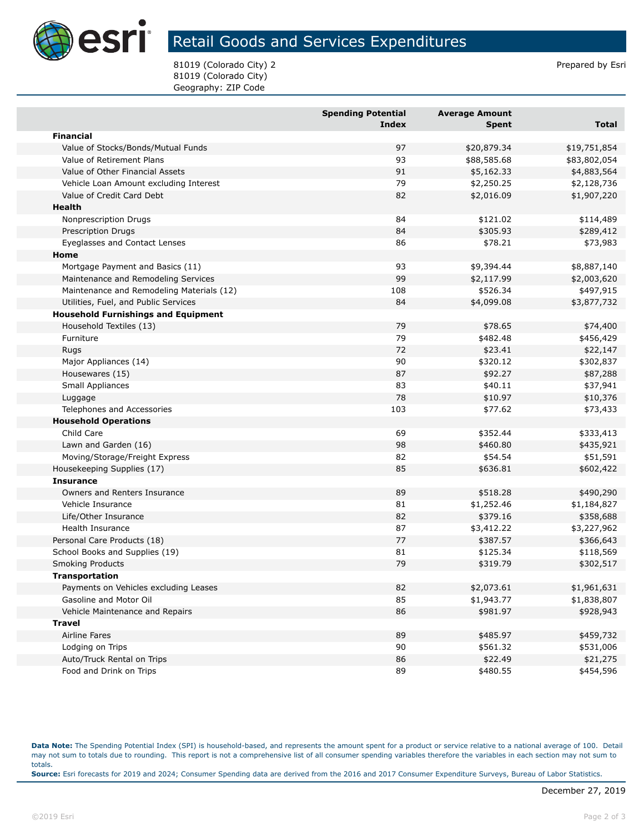

## Retail Goods and Services Expenditures

81019 (Colorado City) 2 and 31019 (Colorado City) 2 81019 (Colorado City) Geography: ZIP Code

|                                            | <b>Spending Potential</b><br><b>Index</b> | <b>Average Amount</b><br><b>Spent</b> | <b>Total</b> |
|--------------------------------------------|-------------------------------------------|---------------------------------------|--------------|
| <b>Financial</b>                           |                                           |                                       |              |
| Value of Stocks/Bonds/Mutual Funds         | 97                                        | \$20,879.34                           | \$19,751,854 |
| Value of Retirement Plans                  | 93                                        | \$88,585.68                           | \$83,802,054 |
| Value of Other Financial Assets            | 91                                        | \$5,162.33                            | \$4,883,564  |
| Vehicle Loan Amount excluding Interest     | 79                                        | \$2,250.25                            | \$2,128,736  |
| Value of Credit Card Debt                  | 82                                        | \$2,016.09                            | \$1,907,220  |
| Health                                     |                                           |                                       |              |
| Nonprescription Drugs                      | 84                                        | \$121.02                              | \$114,489    |
| <b>Prescription Drugs</b>                  | 84                                        | \$305.93                              | \$289,412    |
| Eyeglasses and Contact Lenses              | 86                                        | \$78.21                               | \$73,983     |
| Home                                       |                                           |                                       |              |
| Mortgage Payment and Basics (11)           | 93                                        | \$9,394.44                            | \$8,887,140  |
| Maintenance and Remodeling Services        | 99                                        | \$2,117.99                            | \$2,003,620  |
| Maintenance and Remodeling Materials (12)  | 108                                       | \$526.34                              | \$497,915    |
| Utilities, Fuel, and Public Services       | 84                                        | \$4,099.08                            | \$3,877,732  |
| <b>Household Furnishings and Equipment</b> |                                           |                                       |              |
| Household Textiles (13)                    | 79                                        | \$78.65                               | \$74,400     |
| Furniture                                  | 79                                        | \$482.48                              | \$456,429    |
| Rugs                                       | 72                                        | \$23.41                               | \$22,147     |
| Major Appliances (14)                      | 90                                        | \$320.12                              | \$302,837    |
| Housewares (15)                            | 87                                        | \$92.27                               | \$87,288     |
| Small Appliances                           | 83                                        | \$40.11                               | \$37,941     |
| Luggage                                    | 78                                        | \$10.97                               | \$10,376     |
| Telephones and Accessories                 | 103                                       | \$77.62                               | \$73,433     |
| <b>Household Operations</b>                |                                           |                                       |              |
| Child Care                                 | 69                                        | \$352.44                              | \$333,413    |
| Lawn and Garden (16)                       | 98                                        | \$460.80                              | \$435,921    |
| Moving/Storage/Freight Express             | 82                                        | \$54.54                               | \$51,591     |
| Housekeeping Supplies (17)                 | 85                                        | \$636.81                              | \$602,422    |
| <b>Insurance</b>                           |                                           |                                       |              |
| Owners and Renters Insurance               | 89                                        | \$518.28                              | \$490,290    |
| Vehicle Insurance                          | 81                                        | \$1,252.46                            | \$1,184,827  |
| Life/Other Insurance                       | 82                                        | \$379.16                              | \$358,688    |
| Health Insurance                           | 87                                        | \$3,412.22                            | \$3,227,962  |
| Personal Care Products (18)                | 77                                        | \$387.57                              | \$366,643    |
| School Books and Supplies (19)             | 81                                        | \$125.34                              | \$118,569    |
| Smoking Products                           | 79                                        | \$319.79                              | \$302,517    |
| Transportation                             |                                           |                                       |              |
| Payments on Vehicles excluding Leases      | 82                                        | \$2,073.61                            | \$1,961,631  |
| Gasoline and Motor Oil                     | 85                                        | \$1,943.77                            | \$1,838,807  |
| Vehicle Maintenance and Repairs            | 86                                        | \$981.97                              | \$928,943    |
| <b>Travel</b>                              |                                           |                                       |              |
| Airline Fares                              | 89                                        | \$485.97                              | \$459,732    |
| Lodging on Trips                           | 90                                        | \$561.32                              | \$531,006    |
| Auto/Truck Rental on Trips                 | 86                                        | \$22.49                               | \$21,275     |
| Food and Drink on Trips                    | 89                                        | \$480.55                              | \$454,596    |

**Data Note:** The Spending Potential Index (SPI) is household-based, and represents the amount spent for a product or service relative to a national average of 100. Detail may not sum to totals due to rounding. This report is not a comprehensive list of all consumer spending variables therefore the variables in each section may not sum to totals. **Source:** Esri forecasts for 2019 and 2024; Consumer Spending data are derived from the 2016 and 2017 Consumer Expenditure Surveys, Bureau of Labor Statistics.